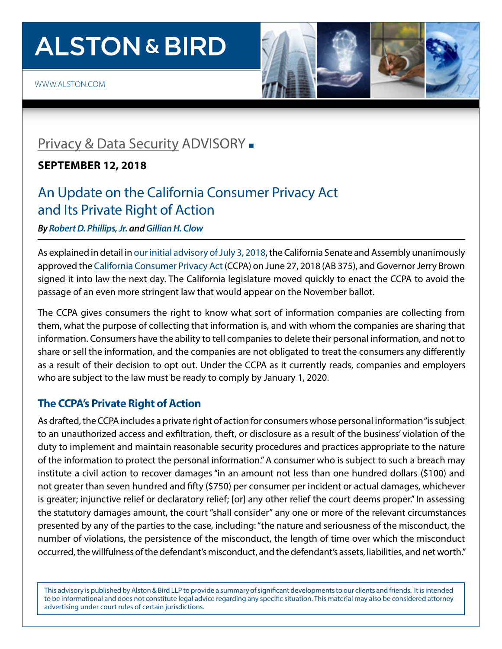# **ALSTON & BIRD**



# [Privacy & Data Security](http://www.alston.com/services/corporate-finance/privacy-data-security/) ADVISORY -

**SEPTEMBER 12, 2018**

# An Update on the California Consumer Privacy Act and Its Private Right of Action

*By [Robert D. Phillips, Jr.](https://www.alston.com/en/professionals/p/phillips-robert) and[Gillian H. Clow](https://www.alston.com/en/professionals/c/clow-gillian)*

As explained in detail in [our initial advisory of July 3, 2018,](https://www.alston.com/-/media/files/insights/publications/2018/07/183461-ccpa-client-alert.pdf) the California Senate and Assembly unanimously approved the [California Consumer Privacy Act](https://leginfo.legislature.ca.gov/faces/billTextClient.xhtml?bill_id=201720180AB375) (CCPA) on June 27, 2018 (AB 375), and Governor Jerry Brown signed it into law the next day. The California legislature moved quickly to enact the CCPA to avoid the passage of an even more stringent law that would appear on the November ballot.

The CCPA gives consumers the right to know what sort of information companies are collecting from them, what the purpose of collecting that information is, and with whom the companies are sharing that information. Consumers have the ability to tell companies to delete their personal information, and not to share or sell the information, and the companies are not obligated to treat the consumers any differently as a result of their decision to opt out. Under the CCPA as it currently reads, companies and employers who are subject to the law must be ready to comply by January 1, 2020.

# **The CCPA's Private Right of Action**

As drafted, the CCPA includes a private right of action for consumers whose personal information"is subject to an unauthorized access and exfiltration, theft, or disclosure as a result of the business' violation of the duty to implement and maintain reasonable security procedures and practices appropriate to the nature of the information to protect the personal information." A consumer who is subject to such a breach may institute a civil action to recover damages "in an amount not less than one hundred dollars (\$100) and not greater than seven hundred and fifty (\$750) per consumer per incident or actual damages, whichever is greater; injunctive relief or declaratory relief; [or] any other relief the court deems proper." In assessing the statutory damages amount, the court "shall consider" any one or more of the relevant circumstances presented by any of the parties to the case, including:"the nature and seriousness of the misconduct, the number of violations, the persistence of the misconduct, the length of time over which the misconduct occurred, the willfulness of the defendant's misconduct, and the defendant's assets, liabilities, and net worth."

This advisory is published by Alston & Bird LLP to provide a summary of significant developments to our clients and friends. It is intended to be informational and does not constitute legal advice regarding any specific situation. This material may also be considered attorney advertising under court rules of certain jurisdictions.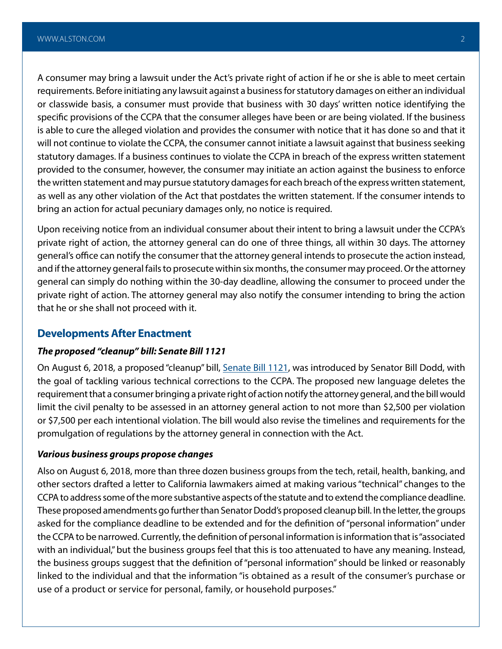A consumer may bring a lawsuit under the Act's private right of action if he or she is able to meet certain requirements. Before initiating any lawsuit against a business for statutory damages on either an individual or classwide basis, a consumer must provide that business with 30 days' written notice identifying the specific provisions of the CCPA that the consumer alleges have been or are being violated. If the business is able to cure the alleged violation and provides the consumer with notice that it has done so and that it will not continue to violate the CCPA, the consumer cannot initiate a lawsuit against that business seeking statutory damages. If a business continues to violate the CCPA in breach of the express written statement provided to the consumer, however, the consumer may initiate an action against the business to enforce the written statement and may pursue statutory damages for each breach of the express written statement, as well as any other violation of the Act that postdates the written statement. If the consumer intends to bring an action for actual pecuniary damages only, no notice is required.

Upon receiving notice from an individual consumer about their intent to bring a lawsuit under the CCPA's private right of action, the attorney general can do one of three things, all within 30 days. The attorney general's office can notify the consumer that the attorney general intends to prosecute the action instead, and if the attorney general fails to prosecute within six months, the consumer may proceed. Or the attorney general can simply do nothing within the 30-day deadline, allowing the consumer to proceed under the private right of action. The attorney general may also notify the consumer intending to bring the action that he or she shall not proceed with it.

## **Developments After Enactment**

## *The proposed "cleanup" bill: Senate Bill 1121*

On August 6, 2018, a proposed "cleanup" bill, [Senate Bill 1121,](https://leginfo.legislature.ca.gov/faces/billTextClient.xhtml?bill_id=201720180SB1121) was introduced by Senator Bill Dodd, with the goal of tackling various technical corrections to the CCPA. The proposed new language deletes the requirement that a consumer bringing a private right of action notify the attorney general, and the bill would limit the civil penalty to be assessed in an attorney general action to not more than \$2,500 per violation or \$7,500 per each intentional violation. The bill would also revise the timelines and requirements for the promulgation of regulations by the attorney general in connection with the Act.

### *Various business groups propose changes*

Also on August 6, 2018, more than three dozen business groups from the tech, retail, health, banking, and other sectors drafted a letter to California lawmakers aimed at making various "technical" changes to the CCPA to address some of the more substantive aspects of the statute and to extend the compliance deadline. These proposed amendments go further than Senator Dodd's proposed cleanup bill. In the letter, the groups asked for the compliance deadline to be extended and for the definition of "personal information" under the CCPA to be narrowed. Currently, the definition of personal information is information that is "associated with an individual," but the business groups feel that this is too attenuated to have any meaning. Instead, the business groups suggest that the definition of "personal information" should be linked or reasonably linked to the individual and that the information "is obtained as a result of the consumer's purchase or use of a product or service for personal, family, or household purposes."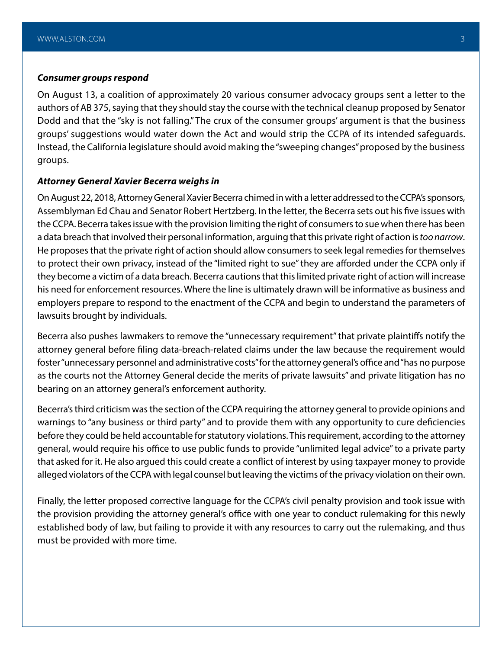#### *Consumer groups respond*

On August 13, a coalition of approximately 20 various consumer advocacy groups sent a letter to the authors of AB 375, saying that they should stay the course with the technical cleanup proposed by Senator Dodd and that the "sky is not falling." The crux of the consumer groups' argument is that the business groups' suggestions would water down the Act and would strip the CCPA of its intended safeguards. Instead, the California legislature should avoid making the "sweeping changes" proposed by the business groups.

#### *Attorney General Xavier Becerra weighs in*

On August 22, 2018, Attorney General Xavier Becerra chimed in with a letter addressed to the CCPA's sponsors, Assemblyman Ed Chau and Senator Robert Hertzberg. In the letter, the Becerra sets out his five issues with the CCPA. Becerra takes issue with the provision limiting the right of consumers to sue when there has been a data breach that involved their personal information, arguing that this private right of action is *too narrow*. He proposes that the private right of action should allow consumers to seek legal remedies for themselves to protect their own privacy, instead of the "limited right to sue" they are afforded under the CCPA only if they become a victim of a data breach. Becerra cautions that this limited private right of action will increase his need for enforcement resources. Where the line is ultimately drawn will be informative as business and employers prepare to respond to the enactment of the CCPA and begin to understand the parameters of lawsuits brought by individuals.

Becerra also pushes lawmakers to remove the "unnecessary requirement" that private plaintiffs notify the attorney general before filing data-breach-related claims under the law because the requirement would foster "unnecessary personnel and administrative costs" for the attorney general's office and "has no purpose as the courts not the Attorney General decide the merits of private lawsuits" and private litigation has no bearing on an attorney general's enforcement authority.

Becerra's third criticism was the section of the CCPA requiring the attorney general to provide opinions and warnings to "any business or third party" and to provide them with any opportunity to cure deficiencies before they could be held accountable for statutory violations. This requirement, according to the attorney general, would require his office to use public funds to provide "unlimited legal advice" to a private party that asked for it. He also argued this could create a conflict of interest by using taxpayer money to provide alleged violators of the CCPA with legal counsel but leaving the victims of the privacy violation on their own.

Finally, the letter proposed corrective language for the CCPA's civil penalty provision and took issue with the provision providing the attorney general's office with one year to conduct rulemaking for this newly established body of law, but failing to provide it with any resources to carry out the rulemaking, and thus must be provided with more time.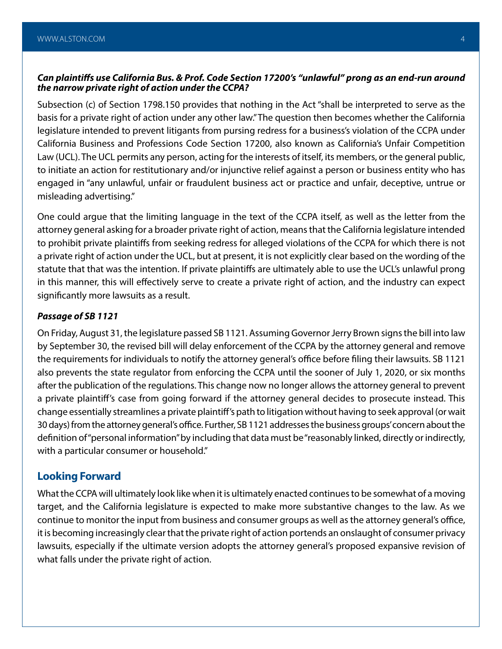# *Can plaintiffs use California Bus. & Prof. Code Section 17200's "unlawful" prong as an end-run around the narrow private right of action under the CCPA?*

Subsection (c) of Section 1798.150 provides that nothing in the Act "shall be interpreted to serve as the basis for a private right of action under any other law." The question then becomes whether the California legislature intended to prevent litigants from pursing redress for a business's violation of the CCPA under California Business and Professions Code Section 17200, also known as California's Unfair Competition Law (UCL). The UCL permits any person, acting for the interests of itself, its members, or the general public, to initiate an action for restitutionary and/or injunctive relief against a person or business entity who has engaged in "any unlawful, unfair or fraudulent business act or practice and unfair, deceptive, untrue or misleading advertising."

One could argue that the limiting language in the text of the CCPA itself, as well as the letter from the attorney general asking for a broader private right of action, means that the California legislature intended to prohibit private plaintiffs from seeking redress for alleged violations of the CCPA for which there is not a private right of action under the UCL, but at present, it is not explicitly clear based on the wording of the statute that that was the intention. If private plaintiffs are ultimately able to use the UCL's unlawful prong in this manner, this will effectively serve to create a private right of action, and the industry can expect significantly more lawsuits as a result.

### *Passage of SB 1121*

On Friday, August 31, the legislature passed SB 1121. Assuming Governor Jerry Brown signs the bill into law by September 30, the revised bill will delay enforcement of the CCPA by the attorney general and remove the requirements for individuals to notify the attorney general's office before filing their lawsuits. SB 1121 also prevents the state regulator from enforcing the CCPA until the sooner of July 1, 2020, or six months after the publication of the regulations. This change now no longer allows the attorney general to prevent a private plaintiff's case from going forward if the attorney general decides to prosecute instead. This change essentially streamlines a private plaintiff's path to litigation without having to seek approval (or wait 30 days) from the attorney general's office. Further, SB 1121 addresses the business groups' concern about the definition of "personal information" by including that data must be "reasonably linked, directly or indirectly, with a particular consumer or household."

# **Looking Forward**

What the CCPA will ultimately look like when it is ultimately enacted continues to be somewhat of a moving target, and the California legislature is expected to make more substantive changes to the law. As we continue to monitor the input from business and consumer groups as well as the attorney general's office, it is becoming increasingly clear that the private right of action portends an onslaught of consumer privacy lawsuits, especially if the ultimate version adopts the attorney general's proposed expansive revision of what falls under the private right of action.